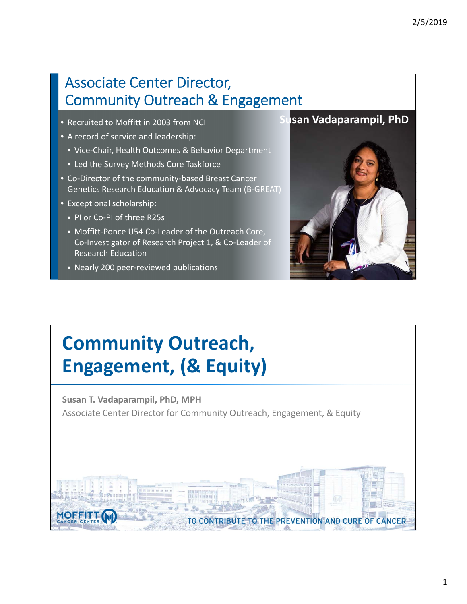#### Associate Center Director, Community Outreach & Engagement

- Recruited to Moffitt in 2003 from NCI
- A record of service and leadership:
	- Vice-Chair, Health Outcomes & Behavior Department
	- Led the Survey Methods Core Taskforce
- Co‐Director of the community‐based Breast Cancer Genetics Research Education & Advocacy Team (B‐GREAT)
- Exceptional scholarship:
	- PI or Co-PI of three R25s
	- Moffitt-Ponce U54 Co-Leader of the Outreach Core, Co‐Investigator of Research Project 1, & Co‐Leader of Research Education
	- Nearly 200 peer-reviewed publications





# **Community Outreach, Engagement, (& Equity)**

**Susan T. Vadaparampil, PhD, MPH** Associate Center Director for Community Outreach, Engagement, & Equity

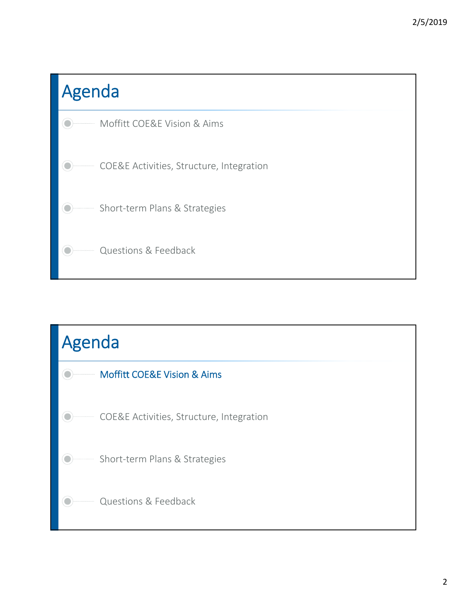

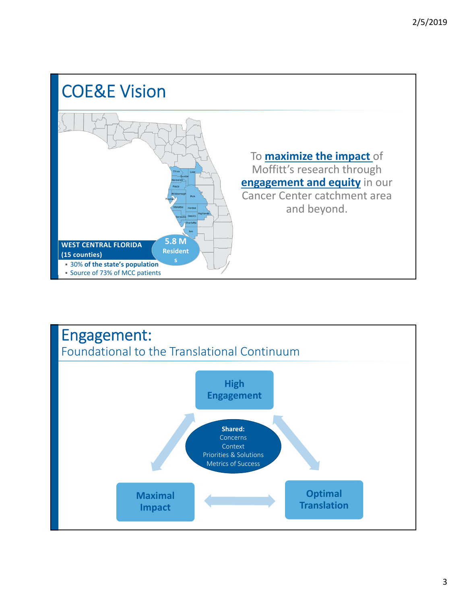

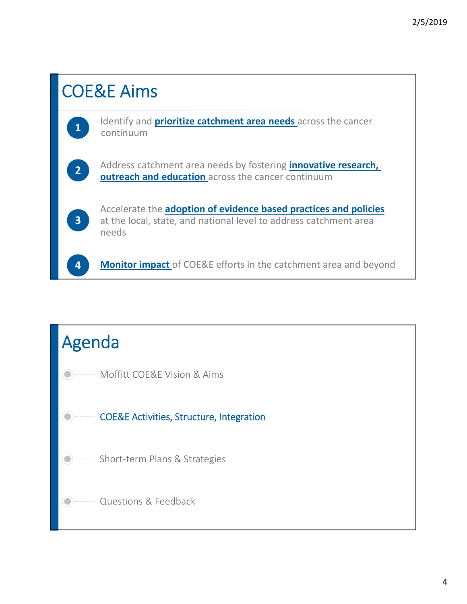

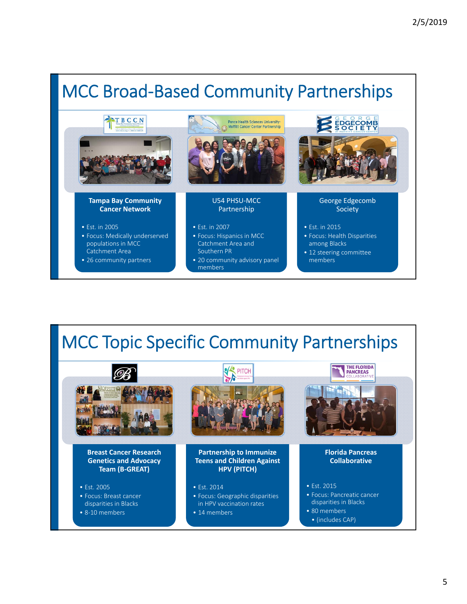### MCC Broad‐Based Community Partnerships



# MCC Topic Specific Community Partnerships

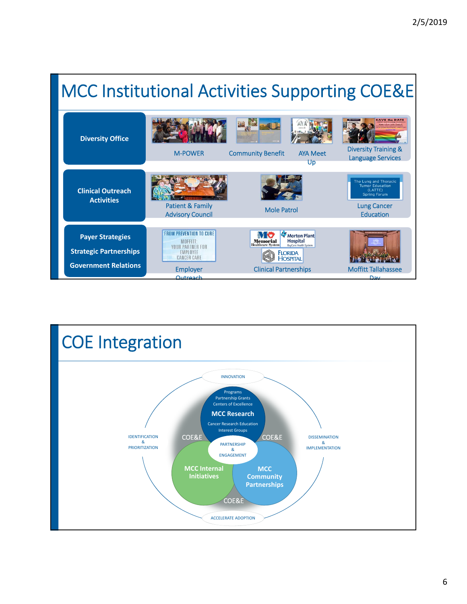

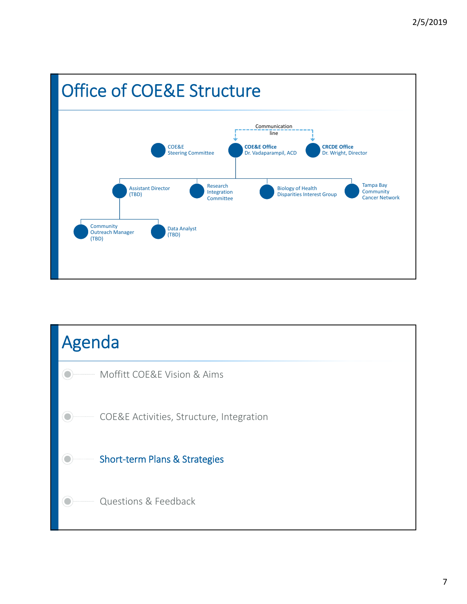

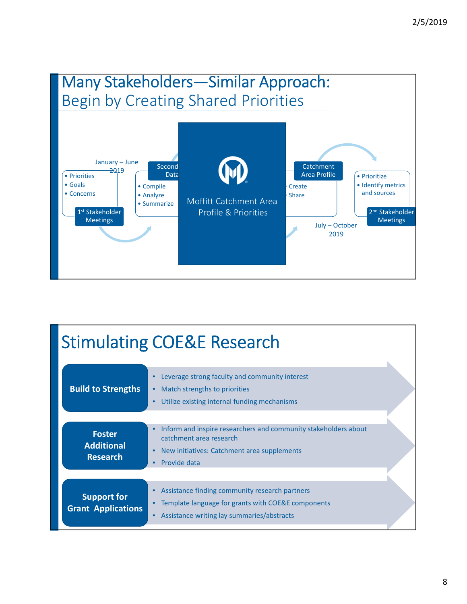

| <b>Stimulating COE&amp;E Research</b>                 |                                                                                                                                                                                                  |  |
|-------------------------------------------------------|--------------------------------------------------------------------------------------------------------------------------------------------------------------------------------------------------|--|
| <b>Build to Strengths</b>                             | Leverage strong faculty and community interest<br>Match strengths to priorities<br>$\bullet$<br>Utilize existing internal funding mechanisms<br>$\bullet$                                        |  |
| <b>Foster</b><br><b>Additional</b><br><b>Research</b> | Inform and inspire researchers and community stakeholders about<br>$\bullet$<br>catchment area research<br>New initiatives: Catchment area supplements<br>$\bullet$<br>Provide data<br>$\bullet$ |  |
| <b>Support for</b><br><b>Grant Applications</b>       | Assistance finding community research partners<br>$\bullet$<br>Template language for grants with COE&E components<br>Assistance writing lay summaries/abstracts<br>$\bullet$                     |  |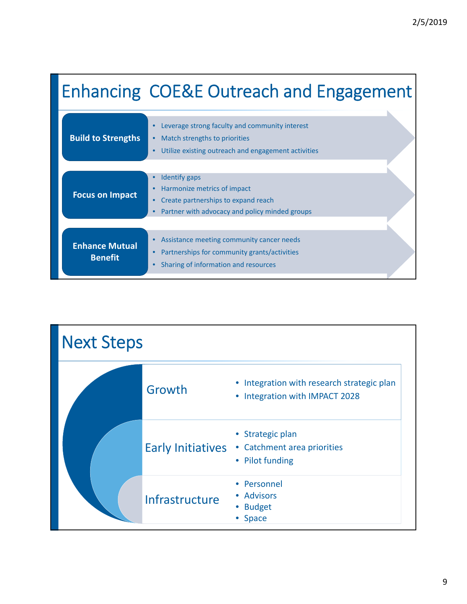